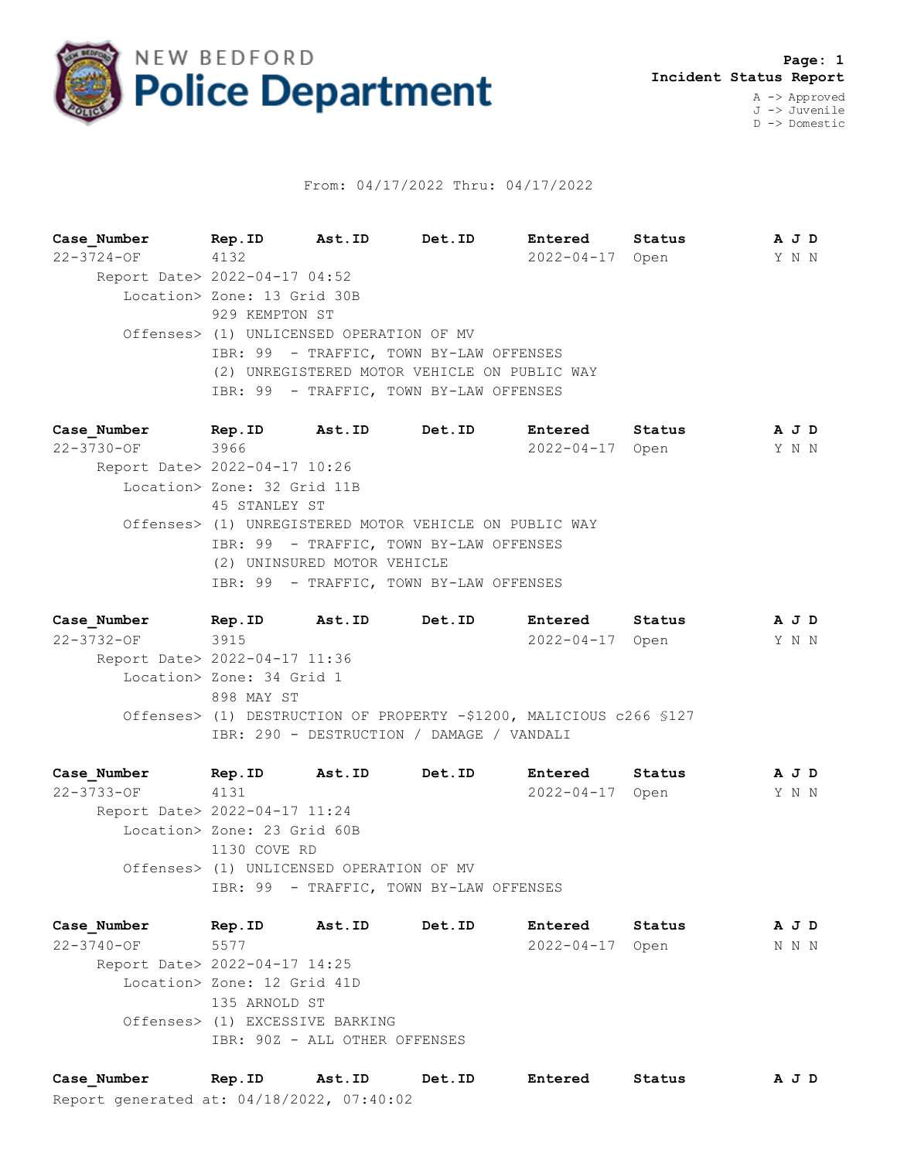

## From: 04/17/2022 Thru: 04/17/2022

**Case\_Number Rep.ID Ast.ID Det.ID Entered Status A J D** 22-3724-OF 4132 2022-04-17 Open Y N N Report Date> 2022-04-17 04:52 Location> Zone: 13 Grid 30B 929 KEMPTON ST Offenses> (1) UNLICENSED OPERATION OF MV IBR: 99 - TRAFFIC, TOWN BY-LAW OFFENSES (2) UNREGISTERED MOTOR VEHICLE ON PUBLIC WAY IBR: 99 - TRAFFIC, TOWN BY-LAW OFFENSES

**Case\_Number Rep.ID Ast.ID Det.ID Entered Status A J D** 22-3730-OF 3966 2022-04-17 Open Y N N Report Date> 2022-04-17 10:26 Location> Zone: 32 Grid 11B 45 STANLEY ST Offenses> (1) UNREGISTERED MOTOR VEHICLE ON PUBLIC WAY IBR: 99 - TRAFFIC, TOWN BY-LAW OFFENSES (2) UNINSURED MOTOR VEHICLE IBR: 99 - TRAFFIC, TOWN BY-LAW OFFENSES

**Case\_Number Rep.ID Ast.ID Det.ID Entered Status A J D** 22-3732-OF 3915 2022-04-17 Open Y N N Report Date> 2022-04-17 11:36 Location> Zone: 34 Grid 1 898 MAY ST Offenses> (1) DESTRUCTION OF PROPERTY -\$1200, MALICIOUS c266 §127 IBR: 290 - DESTRUCTION / DAMAGE / VANDALI

**Case\_Number Rep.ID Ast.ID Det.ID Entered Status A J D** 22-3733-OF 4131 2022-04-17 Open Y N N Report Date> 2022-04-17 11:24 Location> Zone: 23 Grid 60B 1130 COVE RD Offenses> (1) UNLICENSED OPERATION OF MV IBR: 99 - TRAFFIC, TOWN BY-LAW OFFENSES

**Case\_Number Rep.ID Ast.ID Det.ID Entered Status A J D** 22-3740-OF 5577 2022-04-17 Open N N N Report Date> 2022-04-17 14:25 Location> Zone: 12 Grid 41D 135 ARNOLD ST Offenses> (1) EXCESSIVE BARKING IBR: 90Z - ALL OTHER OFFENSES

Report generated at: 04/18/2022, 07:40:02 **Case\_Number Rep.ID Ast.ID Det.ID Entered Status A J D**